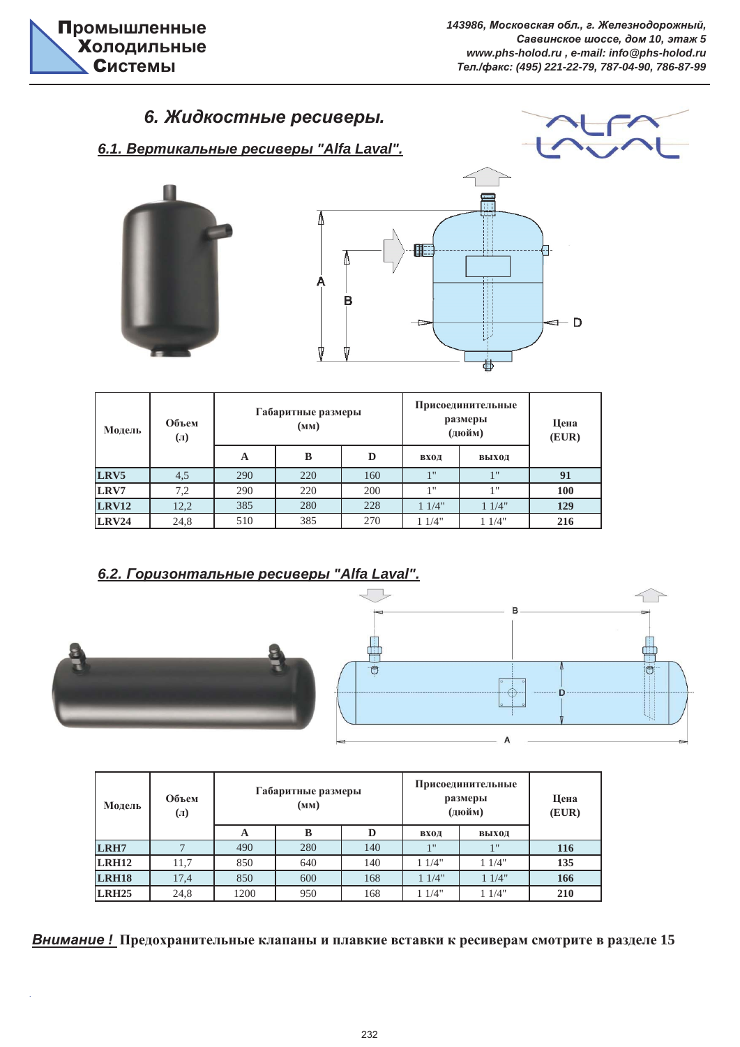# $6.$  Жидкостные ресиверы.









| Модель       | Объем<br>$\left( \Pi\right)$ |     | Габаритные размеры<br>(MM) |     | Присоединительные<br>размеры<br>(дюйм) | Цена<br>(EUR) |     |
|--------------|------------------------------|-----|----------------------------|-----|----------------------------------------|---------------|-----|
|              |                              | A   | B                          | D   | вход                                   | выход         |     |
| LRV5         | 4,5                          | 290 | 220                        | 160 | 1 <sup>11</sup>                        | 1"            | 91  |
| LRV7         | 7,2                          | 290 | 220                        | 200 | 1 <sup>11</sup>                        | 1"            | 100 |
| <b>LRV12</b> | 12,2                         | 385 | 280                        | 228 | 11/4"                                  | 11/4"         | 129 |
| <b>LRV24</b> | 24,8                         | 510 | 385                        | 270 | 11/4"                                  | 1/4"          | 216 |

# **6.2. Горизонтальные ресиверы "Alfa Laval".**



ù.



| Модель       | Объем<br>$\left( \Pi\right)$ |      | Габаритные размеры<br>(мм) |     | Присоединительные<br>размеры<br>(дюйм) | Цена<br>(EUR)   |     |
|--------------|------------------------------|------|----------------------------|-----|----------------------------------------|-----------------|-----|
|              |                              | A    | B                          |     | вход                                   | выход           |     |
| LRH7         |                              | 490  | 280                        | 140 | 1 <sup>11</sup>                        | 1 <sub>II</sub> | 116 |
| <b>LRH12</b> | 11,7                         | 850  | 640                        | 140 | 11/4"                                  | 11/4"           | 135 |
| <b>LRH18</b> | 17,4                         | 850  | 600                        | 168 | 11/4"                                  | 11/4"           | 166 |
| <b>LRH25</b> | 24,8                         | 1200 | 950                        | 168 | 11/4"                                  | 11/4"           | 210 |

*ȼɧɢɦɚɧɢɟ !* **ɉɪɟɞɨɯɪɚɧɢɬɟɥɶɧɵɟ ɤɥɚɩɚɧɵ ɢ ɩɥɚɜɤɢɟ ɜɫɬɚɜɤɢ ɤ ɪɟɫɢɜɟɪɚɦ ɫɦɨɬɪɢɬɟ ɜ ɪɚɡɞɟɥɟ 15**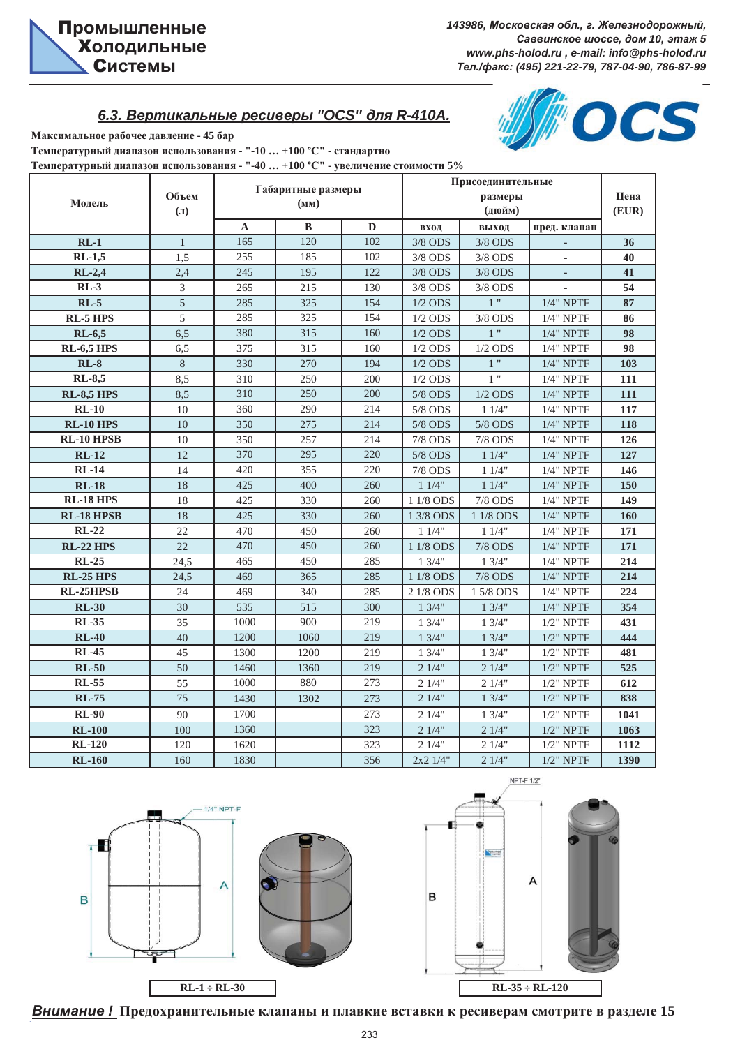OCS

# $6.3.$  Вертикальные ресиверы "ОСS" для R-410A.



Температурный диапазон использования - "-10 ... +100 °С" - стандартно Температурный диапазон использования - "-40 ... +100 °С" - увеличение стоимости 5%

| Модель              | Объем<br>$(\Pi)$ |      | Габаритные размеры<br>(MM) |     |              | Присоединительные<br>размеры<br>(дюйм) |              | Цена<br>(EUR) |
|---------------------|------------------|------|----------------------------|-----|--------------|----------------------------------------|--------------|---------------|
|                     |                  | A    | B                          | D   | вход         | выход                                  | пред. клапан |               |
| $RL-1$              | $\mathbf{1}$     | 165  | 120                        | 102 | $3/8$ ODS    | $3/8$ ODS                              |              | 36            |
| $\overline{RL-1,5}$ | 1,5              | 255  | 185                        | 102 | $3/8$ ODS    | $3/8$ ODS                              |              | 40            |
| $RL-2,4$            | 2,4              | 245  | 195                        | 122 | 3/8 ODS      | $3/8$ ODS                              |              | 41            |
| $RL-3$              | 3                | 265  | 215                        | 130 | 3/8 ODS      | $3/8$ ODS                              |              | 54            |
| $RL-5$              | 5                | 285  | 325                        | 154 | $1/2$ ODS    | $\overline{1}$                         | $1/4$ " NPTF | 87            |
| <b>RL-5 HPS</b>     | 5                | 285  | 325                        | 154 | $1/2$ ODS    | $3/8$ ODS                              | $1/4$ " NPTF | 86            |
| $RL-6,5$            | 6,5              | 380  | 315                        | 160 | $1/2$ ODS    | $1$ "                                  | $1/4$ " NPTF | 98            |
| <b>RL-6,5 HPS</b>   | 6,5              | 375  | 315                        | 160 | $1/2$ ODS    | $1/2$ ODS                              | $1/4"$ NPTF  | 98            |
| $RL-8$              | $8\,$            | 330  | 270                        | 194 | $1/2$ ODS    | $1$ "                                  | $1/4$ " NPTF | 103           |
| <b>RL-8,5</b>       | 8,5              | 310  | 250                        | 200 | $1/2$ ODS    | 1"                                     | $1/4$ " NPTF | 111           |
| <b>RL-8,5 HPS</b>   | 8.5              | 310  | 250                        | 200 | 5/8 ODS      | $1/2$ ODS                              | $1/4$ " NPTF | 111           |
| $RL-10$             | 10               | 360  | 290                        | 214 | 5/8 ODS      | 11/4"                                  | $1/4$ " NPTF | 117           |
| <b>RL-10 HPS</b>    | 10               | 350  | 275                        | 214 | 5/8 ODS      | 5/8 ODS                                | $1/4$ " NPTF | 118           |
| <b>RL-10 HPSB</b>   | 10               | 350  | 257                        | 214 | 7/8 ODS      | 7/8 ODS                                | $1/4$ " NPTF | 126           |
| $RL-12$             | 12               | 370  | 295                        | 220 | 5/8 ODS      | 11/4"                                  | $1/4$ " NPTF | 127           |
| $RL-14$             | 14               | 420  | 355                        | 220 | 7/8 ODS      | 11/4"                                  | $1/4$ " NPTF | 146           |
| <b>RL-18</b>        | 18               | 425  | 400                        | 260 | 11/4"        | 11/4"                                  | $1/4"$ NPTF  | 150           |
| <b>RL-18 HPS</b>    | 18               | 425  | 330                        | 260 | 1 1/8 ODS    | $7/8$ ODS                              | $1/4$ " NPTF | 149           |
| <b>RL-18 HPSB</b>   | 18               | 425  | 330                        | 260 | 1 3/8 ODS    | 1 1/8 ODS                              | $1/4$ " NPTF | 160           |
| $RL-22$             | 22               | 470  | 450                        | 260 | 11/4"        | 11/4"                                  | $1/4"$ NPTF  | 171           |
| <b>RL-22 HPS</b>    | 22               | 470  | 450                        | 260 | 1 1/8 ODS    | <b>7/8 ODS</b>                         | $1/4$ " NPTF | 171           |
| <b>RL-25</b>        | 24,5             | 465  | 450                        | 285 | 13/4"        | 13/4"                                  | $1/4"$ NPTF  | 214           |
| <b>RL-25 HPS</b>    | 24,5             | 469  | 365                        | 285 | 1 1/8 ODS    | <b>7/8 ODS</b>                         | $1/4$ " NPTF | 214           |
| RL-25HPSB           | 24               | 469  | 340                        | 285 | 2 1/8 ODS    | 1 5/8 ODS                              | $1/4$ " NPTF | 224           |
| <b>RL-30</b>        | 30               | 535  | 515                        | 300 | 13/4"        | 13/4"                                  | $1/4$ " NPTF | 354           |
| <b>RL-35</b>        | 35               | 1000 | 900                        | 219 | 13/4"        | 13/4"                                  | $1/2$ " NPTF | 431           |
| <b>RL-40</b>        | 40               | 1200 | 1060                       | 219 | 13/4"        | 13/4"                                  | $1/2$ " NPTF | 444           |
| <b>RL-45</b>        | 45               | 1300 | 1200                       | 219 | 13/4"        | 13/4"                                  | $1/2$ " NPTF | 481           |
| $RL-50$             | 50               | 1460 | 1360                       | 219 | 21/4"        | 21/4"                                  | $1/2$ " NPTF | 525           |
| <b>RL-55</b>        | 55               | 1000 | 880                        | 273 | 21/4"        | 21/4"                                  | $1/2$ " NPTF | 612           |
| <b>RL-75</b>        | 75               | 1430 | 1302                       | 273 | 21/4"        | 13/4"                                  | $1/2$ " NPTF | 838           |
| <b>RL-90</b>        | 90               | 1700 |                            | 273 | 21/4"        | 13/4"                                  | $1/2$ " NPTF | 1041          |
| <b>RL-100</b>       | 100              | 1360 |                            | 323 | 21/4"        | 21/4"                                  | $1/2$ " NPTF | 1063          |
| <b>RL-120</b>       | 120              | 1620 |                            | 323 | 21/4"        | 21/4"                                  | $1/2$ " NPTF | 1112          |
| <b>RL-160</b>       | 160              | 1830 |                            | 356 | $2x2$ $1/4"$ | 21/4"                                  | $1/2$ " NPTF | 1390          |





*ȼɧɢɦɚɧɢɟ !* **ɉɪɟɞɨɯɪɚɧɢɬɟɥɶɧɵɟ ɤɥɚɩɚɧɵ ɢ ɩɥɚɜɤɢɟ ɜɫɬɚɜɤɢ ɤ ɪɟɫɢɜɟɪɚɦ ɫɦɨɬɪɢɬɟ ɜ ɪɚɡɞɟɥɟ 15**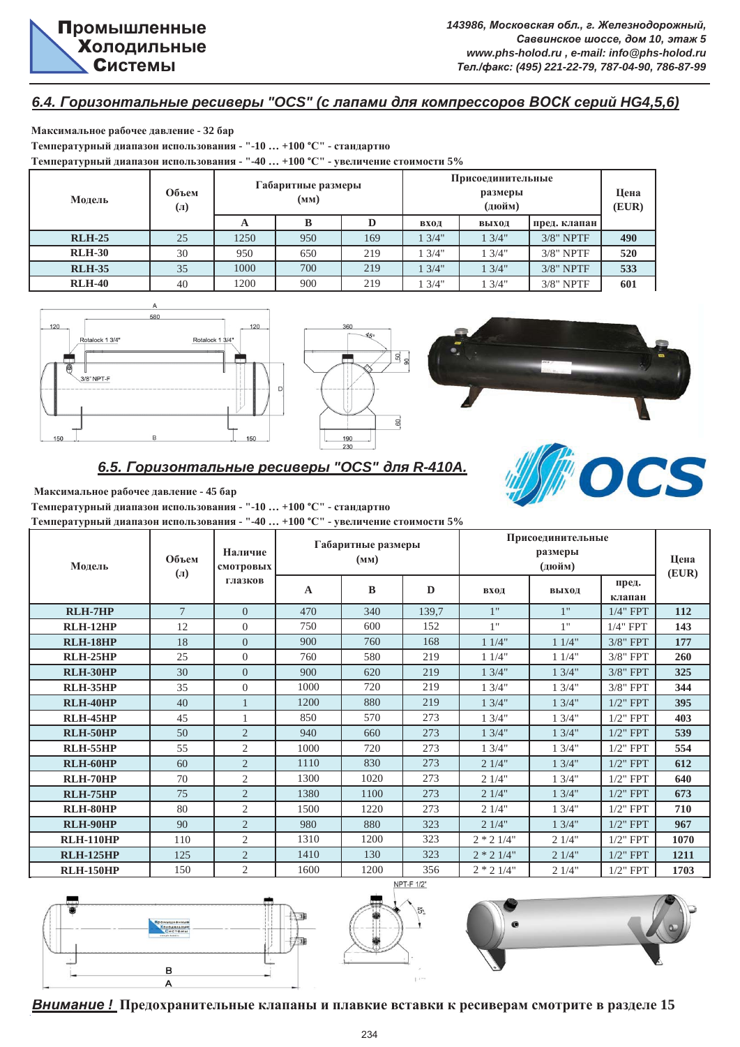#### $6.4.$  Горизонтальные ресиверы "OCS" (с лапами для компрессоров ВОСК серий НG4,5,6)

**Ɇɚɤɫɢɦɚɥɶɧɨɟ ɪɚɛɨɱɟɟ ɞɚɜɥɟɧɢɟ - 32 ɛɚɪ** Tемпературный диапазон использования - "-10 ... +100 °С" - стандартно **Ɍɟɦɩɟɪɚɬɭɪɧɵɣ ɞɢɚɩɚɡɨɧ ɢɫɩɨɥɶɡɨɜɚɧɢɹ - "-40 … +100 °ɋ" - ɭɜɟɥɢɱɟɧɢɟ ɫɬɨɢɦɨɫɬɢ 5%**

| Модель        | Объем<br>$\left( \Pi \right)$ |      | Габаритные размеры<br>(MM) |     | Присоединительные | Цена<br>(EUR) |              |     |
|---------------|-------------------------------|------|----------------------------|-----|-------------------|---------------|--------------|-----|
|               |                               |      |                            |     | вход              | выход         | пред. клапан |     |
| <b>RLH-25</b> | 25                            | 1250 | 950                        | 169 | 13/4"             | 3/4"          | $3/8$ " NPTF | 490 |
| <b>RLH-30</b> | 30                            | 950  | 650                        | 219 | 13/4"             | 3/4"          | $3/8"$ NPTF  | 520 |
| <b>RLH-35</b> | 35                            | 1000 | 700                        | 219 | 13/4"             | 3/4"          | $3/8$ " NPTF | 533 |
| <b>RLH-40</b> | 40                            | 1200 | 900                        | 219 | 13/4"             | 3/4"          | $3/8"$ NPTF  | 601 |







OCS

# $6.5.$  Горизонтальные ресиверы "OCS" для R-410A.

**Ɇɚɤɫɢɦɚɥɶɧɨɟ ɪɚɛɨɱɟɟ ɞɚɜɥɟɧɢɟ - 45 ɛɚɪ**

Температурный диапазон использования - "-10 ... +100 °С" - стандартно

Температурный диапазон использования - "-40 ... +100 °С" - увеличение стоимости 5%

| Модель           | Объем<br>$\left( \Pi \right)$ | Наличие<br>смотровых |             | Габаритные размеры<br>(MM) |       |              | Присоединительные<br>размеры<br>(дюйм) |                     | Цена<br>(EUR) |
|------------------|-------------------------------|----------------------|-------------|----------------------------|-------|--------------|----------------------------------------|---------------------|---------------|
|                  |                               | глазков              | $\mathbf A$ | B                          | D     | вход         | выход                                  | пред.<br>клапан     |               |
| <b>RLH-7HP</b>   | $\tau$                        | $\Omega$             | 470         | 340                        | 139,7 | 1"           | 1"                                     | $1/4$ " FPT         | 112           |
| <b>RLH-12HP</b>  | 12                            | $\overline{0}$       | 750         | 600                        | 152   | 1"           | 1"                                     | $1/4$ " FPT         | 143           |
| <b>RLH-18HP</b>  | 18                            | $\overline{0}$       | 900         | 760                        | 168   | 11/4"        | 11/4"                                  | $3/8$ " FPT         | 177           |
| <b>RLH-25HP</b>  | 25                            | $\Omega$             | 760         | 580                        | 219   | 11/4"        | 11/4"                                  | $3/8"$ FPT          | 260           |
| RLH-30HP         | 30                            | $\overline{0}$       | 900         | 620                        | 219   | 13/4"        | 13/4"                                  | $3/8$ " FPT         | 325           |
| <b>RLH-35HP</b>  | 35                            | $\overline{0}$       | 1000        | 720                        | 219   | 13/4"        | 13/4"                                  | $3/8$ " FPT         | 344           |
| RLH-40HP         | 40                            |                      | 1200        | 880                        | 219   | 13/4"        | 13/4"                                  | $1/2$ " FPT         | 395           |
| <b>RLH-45HP</b>  | 45                            |                      | 850         | 570                        | 273   | 13/4"        | 13/4"                                  | $1/2$ " FPT         | 403           |
| <b>RLH-50HP</b>  | 50                            | 2                    | 940         | 660                        | 273   | 13/4"        | 13/4"                                  | $1/2$ " FPT         | 539           |
| <b>RLH-55HP</b>  | 55                            | 2                    | 1000        | 720                        | 273   | 13/4"        | 13/4"                                  | $1/2$ " FPT         | 554           |
| RLH-60HP         | 60                            | $\overline{2}$       | 1110        | 830                        | 273   | 21/4"        | 13/4"                                  | $1/2$ " ${\rm FPT}$ | 612           |
| RLH-70HP         | 70                            | 2                    | 1300        | 1020                       | 273   | 21/4"        | 13/4"                                  | $1/2$ " FPT         | 640           |
| <b>RLH-75HP</b>  | 75                            | 2                    | 1380        | 1100                       | 273   | 21/4"        | 13/4"                                  | $1/2$ " FPT         | 673           |
| RLH-80HP         | 80                            | $\overline{2}$       | 1500        | 1220                       | 273   | 21/4"        | 13/4"                                  | $1/2$ " FPT         | 710           |
| RLH-90HP         | 90                            | $\overline{2}$       | 980         | 880                        | 323   | 21/4"        | 13/4"                                  | $1/2$ " FPT         | 967           |
| <b>RLH-110HP</b> | 110                           | 2                    | 1310        | 1200                       | 323   | $2 * 2 1/4"$ | 21/4"                                  | $1/2$ " FPT         | 1070          |
| <b>RLH-125HP</b> | 125                           | $\overline{2}$       | 1410        | 130                        | 323   | $2 * 2 1/4"$ | 21/4"                                  | $1/2$ " FPT         | 1211          |
| <b>RLH-150HP</b> | 150                           | $\overline{2}$       | 1600        | 1200                       | 356   | $2 * 2 1/4"$ | 21/4"                                  | $1/2$ " FPT         | 1703          |



*ȼɧɢɦɚɧɢɟ !* **ɉɪɟɞɨɯɪɚɧɢɬɟɥɶɧɵɟ ɤɥɚɩɚɧɵ ɢ ɩɥɚɜɤɢɟ ɜɫɬɚɜɤɢ ɤ ɪɟɫɢɜɟɪɚɦ ɫɦɨɬɪɢɬɟ ɜ ɪɚɡɞɟɥɟ 15**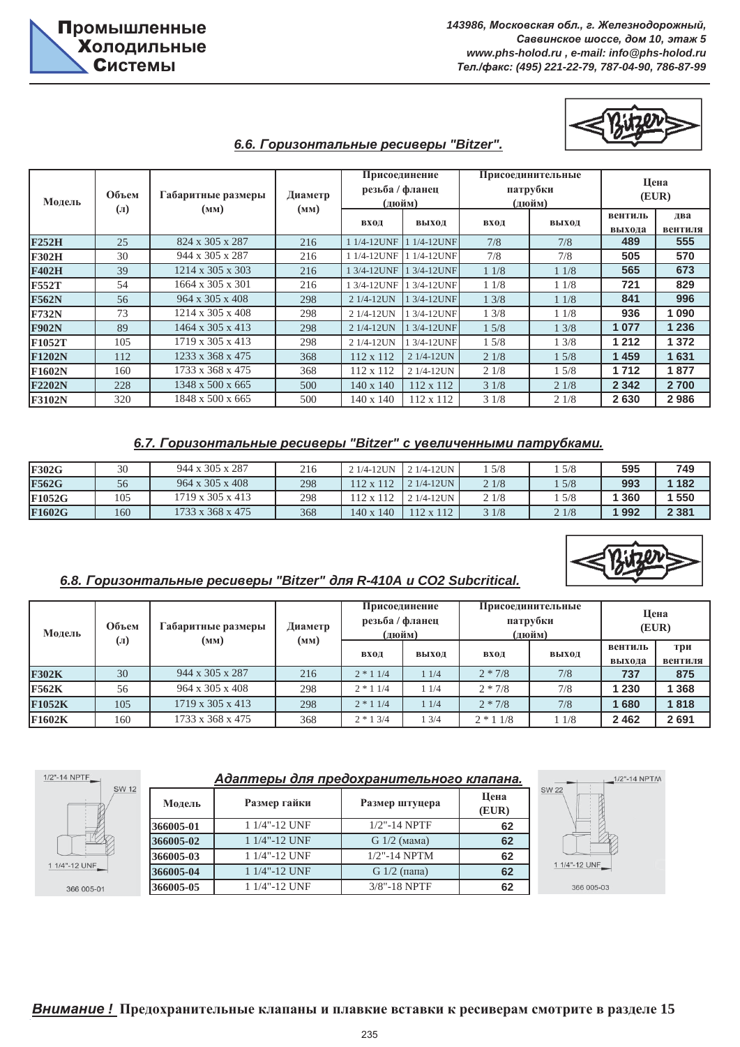

#### $6.6.$  Горизонтальные ресиверы "Bitzer".

| Модель        | Объем                | Габаритные размеры<br>(MM)   | Диаметр<br>(MM) | Присоединение<br>резьба / фланец<br>(дюйм) |             |      | Присоединительные<br>патрубки<br>(дюйм) | Цена<br>(EUR)     |                |
|---------------|----------------------|------------------------------|-----------------|--------------------------------------------|-------------|------|-----------------------------------------|-------------------|----------------|
|               | $\left( \Pi \right)$ |                              |                 | вход                                       | выход       | вход | выход                                   | вентиль<br>выхода | два<br>вентиля |
| <b>F252H</b>  | 25                   | 824 x 305 x 287              | 216             | 1 1/4-12UNF                                | 1 1/4-12UNF | 7/8  | 7/8                                     | 489               | 555            |
| <b>F302H</b>  | 30                   | 944 x 305 x 287              | 216             | 1 1/4-12UNF                                | 1 1/4-12UNF | 7/8  | 7/8                                     | 505               | 570            |
| <b>F402H</b>  | 39                   | $1214 \times 305 \times 303$ | 216             | 1 3/4-12UNF                                | 1 3/4-12UNF | 11/8 | 11/8                                    | 565               | 673            |
| <b>F552T</b>  | 54                   | 1664 x 305 x 301             | 216             | 1 3/4-12UNF                                | 1 3/4-12UNF | 11/8 | 11/8                                    | 721               | 829            |
| <b>F562N</b>  | 56                   | $964 \times 305 \times 408$  | 298             | 2 1/4-12UN                                 | 1 3/4-12UNF | 13/8 | 11/8                                    | 841               | 996            |
| <b>F732N</b>  | 73                   | $1214 \times 305 \times 408$ | 298             | 2 1/4-12UN                                 | 1 3/4-12UNF | 13/8 | 11/8                                    | 936               | 1090           |
| <b>F902N</b>  | 89                   | 1464 x 305 x 413             | 298             | 2 1/4-12UN                                 | 1 3/4-12UNF | 15/8 | 13/8                                    | 1 0 7 7           | 1 2 3 6        |
| F1052T        | 105                  | 1719 x 305 x 413             | 298             | 2 1/4-12UN                                 | 1 3/4-12UNF | 15/8 | 13/8                                    | 1 2 1 2           | 1 372          |
| <b>F1202N</b> | 112                  | 1233 x 368 x 475             | 368             | 112 x 112                                  | 2 1/4-12UN  | 21/8 | 15/8                                    | 1459              | 1631           |
| <b>F1602N</b> | 160                  | 1733 x 368 x 475             | 368             | 112 x 112                                  | 2 1/4-12UN  | 21/8 | 15/8                                    | 1712              | 1877           |
| <b>F2202N</b> | 228                  | 1348 x 500 x 665             | 500             | 140 x 140                                  | 112 x 112   | 31/8 | 21/8                                    | 2 3 4 2           | 2 700          |
| F3102N        | 320                  | 1848 x 500 x 665             | 500             | 140 x 140                                  | 112 x 112   | 31/8 | 21/8                                    | 2630              | 2986           |

#### 6.7. Горизонтальные ресиверы "Bitzer" с увеличенными патрубками.

| <b>F302G</b>  | 30  | 944 x 305 x 287             | 216 | $21/4-12UN$ 21/4-12UN |                | 5/8  | 5/8  | 595   | 749     |
|---------------|-----|-----------------------------|-----|-----------------------|----------------|------|------|-------|---------|
| <b>F562G</b>  | 56  | $964 \times 305 \times 408$ | 298 | 112 x 112             | $121/4-12UN$ . | 21/8 | 5/8  | 993   | 1 182   |
| <b>F1052G</b> | 105 | 1719 x 305 x 413            | 298 | 112 x 112             | $21/4-12UN$    | 21/8 | 5/8  | 1 360 | 550     |
| F1602G        | 160 | 1733 x 368 x 475            | 368 | 140 x 140             | 112 x 112      | 31/8 | 21/8 | 1 992 | 2 3 8 1 |

### $6.8.$  Горизонтальные ресиверы "Bitzer" для R-410A и CO2 Subcritical.

| Модель        | Объем | <b>Габаритные размеры</b><br>$\left( \Pi\right)$<br>(MM) |      | Присоединение<br>резьба / фланец<br>(дюйм) |       | патрубки   | Присоединительные<br>(дюйм) | Цена<br>(EUR)     |                |
|---------------|-------|----------------------------------------------------------|------|--------------------------------------------|-------|------------|-----------------------------|-------------------|----------------|
|               |       |                                                          | (MM) | вход                                       | выход | вход       | выход                       | вентиль<br>выхода | три<br>вентиля |
| <b>F302K</b>  | 30    | $944 \times 305 \times 287$                              | 216  | $2 * 11/4$                                 | 11/4  | $2 * 7/8$  | 7/8                         | 737               | 875            |
| <b>F562K</b>  | 56    | $964 \times 305 \times 408$                              | 298  | $2 * 11/4$                                 | 11/4  | $2 * 7/8$  | 7/8                         | 230               | 368            |
| <b>F1052K</b> | 105   | $1719 \times 305 \times 413$                             | 298  | $2 * 11/4$                                 | 11/4  | $2 * 7/8$  | 7/8                         | 680               | 1818           |
| F1602K        | 160   | 1733 x 368 x 475                                         | 368  | $2 * 13/4$                                 | 13/4  | $2 * 11/8$ | 11/8                        | 2462              | 2691           |

| 1/2"-14 NPTF_ |           | Адаптеры для предохранительного клапана. |                 |               |
|---------------|-----------|------------------------------------------|-----------------|---------------|
| <b>SW 12</b>  | Модель    | Размер гайки                             | Размер штуцера  | Цена<br>(EUR) |
|               | 366005-01 | 1 1/4"-12 UNF                            | $1/2$ "-14 NPTF | 62            |
|               | 366005-02 | 1 1/4"-12 UNF                            | $G1/2$ (мама)   | 62            |
|               | 366005-03 | 1 1/4"-12 UNF                            | $1/2$ "-14 NPTM | 62            |
| 1 1/4"-12 UNF | 366005-04 | 1 1/4"-12 UNF                            | $G1/2$ (папа)   | 62            |
| 366 005-01    | 366005-05 | 1 1/4"-12 UNF                            | 3/8"-18 NPTF    | 62            |

 $1/2" - 1$ 

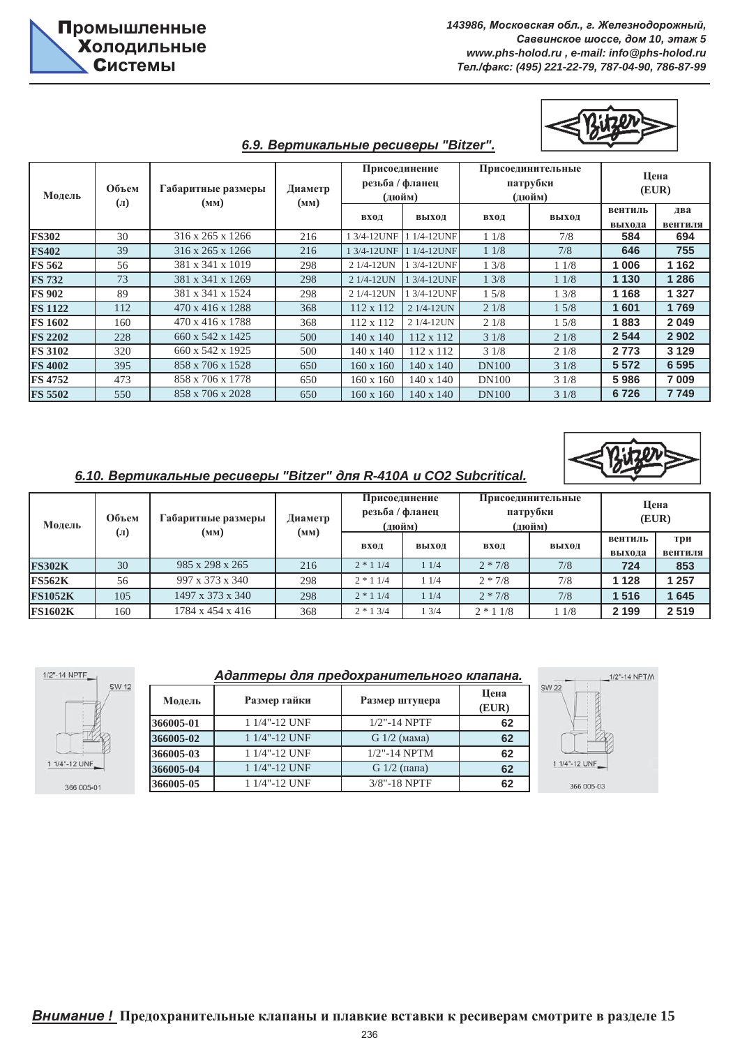#### $6.9.$  Вертикальные ресиверы "Bitzer".

| Модель         | Объем<br>$\mathbf{J}(\mathbf{J})$ | Габаритные размеры<br>(MM) | Диаметр | Присоединение<br>резьба / фланец<br>(дюйм)<br>(MM) |             |              | Присоединительные<br>патрубки<br>(дюйм) | Цена<br>(EUR)     |                |
|----------------|-----------------------------------|----------------------------|---------|----------------------------------------------------|-------------|--------------|-----------------------------------------|-------------------|----------------|
|                |                                   |                            |         | вход                                               | выход       | вход         | выход                                   | вентиль<br>выхода | два<br>вентиля |
| <b>FS302</b>   | 30                                | 316 x 265 x 1266           | 216     | 1 3/4-12UNF                                        | 1 1/4-12UNF | 11/8         | 7/8                                     | 584               | 694            |
| <b>FS402</b>   | 39                                | 316 x 265 x 1266           | 216     | 1 3/4-12UNF                                        | 1 1/4-12UNF | 11/8         | 7/8                                     | 646               | 755            |
| <b>FS 562</b>  | 56                                | 381 x 341 x 1019           | 298     | 2 1/4-12UN                                         | 1 3/4-12UNF | 13/8         | 11/8                                    | 1006              | 1 1 6 2        |
| <b>FS 732</b>  | 73                                | 381 x 341 x 1269           | 298     | 2 1/4-12UN                                         | 1 3/4-12UNF | 13/8         | 11/8                                    | 1 1 3 0           | 1 2 8 6        |
| <b>FS 902</b>  | 89                                | 381 x 341 x 1524           | 298     | 2 1/4-12UN                                         | 1 3/4-12UNF | 15/8         | 13/8                                    | 1 1 6 8           | 1 3 2 7        |
| <b>FS 1122</b> | 112                               | 470 x 416 x 1288           | 368     | $112 \times 112$                                   | 2 1/4-12UN  | 21/8         | 15/8                                    | 1601              | 1769           |
| <b>FS 1602</b> | 160                               | 470 x 416 x 1788           | 368     | 112 x 112                                          | 2 1/4-12UN  | 21/8         | 15/8                                    | 1883              | 2 0 4 9        |
| <b>FS 2202</b> | 228                               | 660 x 542 x 1425           | 500     | 140 x 140                                          | 112 x 112   | 31/8         | 21/8                                    | 2 5 4 4           | 2 9 0 2        |
| <b>FS 3102</b> | 320                               | 660 x 542 x 1925           | 500     | 140 x 140                                          | 112 x 112   | 31/8         | 21/8                                    | 2 7 7 3           | 3 1 2 9        |
| <b>FS 4002</b> | 395                               | 858 x 706 x 1528           | 650     | 160 x 160                                          | 140 x 140   | <b>DN100</b> | 31/8                                    | 5 5 7 2           | 6 5 9 5        |
| <b>FS 4752</b> | 473                               | 858 x 706 x 1778           | 650     | 160 x 160                                          | 140 x 140   | <b>DN100</b> | 31/8                                    | 5986              | 7 0 0 9        |
| <b>FS 5502</b> | 550                               | 858 x 706 x 2028           | 650     | 160 x 160                                          | 140 x 140   | <b>DN100</b> | 31/8                                    | 6726              | 7749           |

#### $6.10.$  Вертикальные ресиверы "Bitzer" для R-410A и CO2 Subcritical.

| Модель         | Объем<br>Габаритные размеры<br>$\mathbf{u}$<br>(MM) |                  | Диаметр | Присоединение<br>резьба / фланец<br>(дюйм) |       |            | Присоединительные<br>патрубки<br>(дюйм) | Цена<br>(EUR)     |                |
|----------------|-----------------------------------------------------|------------------|---------|--------------------------------------------|-------|------------|-----------------------------------------|-------------------|----------------|
|                |                                                     |                  | (MM)    | вход                                       | выход | вход       | выход                                   | вентиль<br>выхода | три<br>вентиля |
| <b>FS302K</b>  | 30                                                  | 985 x 298 x 265  | 216     | $2 * 11/4$                                 | 11/4  | $2 * 7/8$  | 7/8                                     | 724               | 853            |
| <b>FS562K</b>  | 56                                                  | 997 x 373 x 340  | 298     | $2 * 11/4$                                 | 11/4  | $2 * 7/8$  | 7/8                                     | 128               | 1257           |
| <b>FS1052K</b> | 105                                                 | 1497 x 373 x 340 | 298     | $2 * 11/4$                                 | 11/4  | $2 * 7/8$  | 7/8                                     | 516               | 645            |
| <b>FS1602K</b> | 160                                                 | 1784 x 454 x 416 | 368     | $2 * 13/4$                                 | 13/4  | $2 * 11/8$ | 11/8                                    | 2 1 9 9           | 2519           |



#### Адаптеры для предохранительного клапана.

| Модель    | Размер гайки  | Размер штуцера  | Цена<br>(EUR) |  |
|-----------|---------------|-----------------|---------------|--|
| 366005-01 | 1 1/4"-12 UNF | $1/2$ "-14 NPTF | 62            |  |
| 366005-02 | 1 1/4"-12 UNF | $G1/2$ (мама)   | 62            |  |
| 366005-03 | 1 1/4"-12 UNF | $1/2$ "-14 NPTM | 62            |  |
| 366005-04 | 1 1/4"-12 UNF | G $1/2$ (папа)  | 62            |  |
| 366005-05 | 1 1/4"-12 UNF | $3/8$ "-18 NPTF | 62            |  |

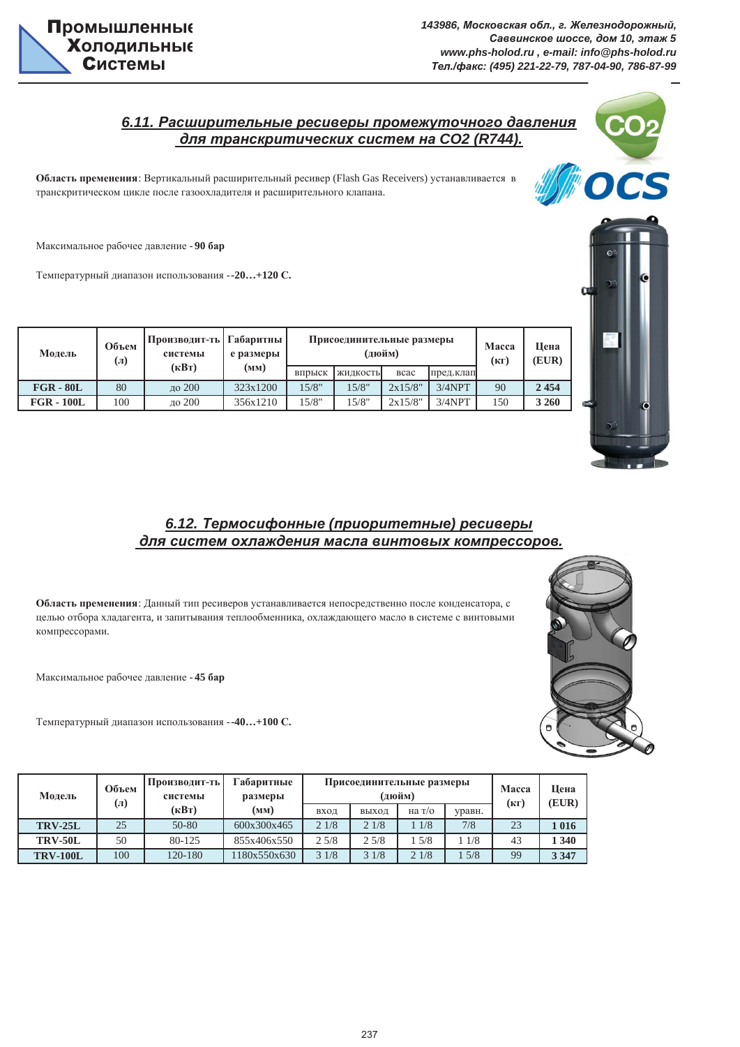

## $6.11.$  Расширительные ресиверы промежуточного давления  $d$ ля транскритических систем на СО2 (R744).

Область пременения: Вертикальный расширительный ресивер (Flash Gas Receivers) устанавливается в транскритическом цикле после газоохладителя и расширительного клапана.

Максимальное рабочее давление - 90 бар

Температурный диапазон использования - - 20... + 120 С.

| Модель       | Объем<br>$\left( \Pi \right)$ | Производит-ть   Габаритны<br>системы<br>$(\mathbf{R}B\mathbf{T})$ | е размеры<br>(MM) | Присоединительные размеры<br>(дюйм) |          |              |           | Macca<br>(кг) | Шена<br>(EUR) |
|--------------|-------------------------------|-------------------------------------------------------------------|-------------------|-------------------------------------|----------|--------------|-----------|---------------|---------------|
|              |                               |                                                                   |                   | впрыск                              | жидкость | <b>B</b> cac | пред.клап |               |               |
| $FGR - 80L$  | 80                            | ло 200                                                            | 323x1200          | 15/8"                               | 15/8"    | 2x15/8"      | $3/4$ NPT | 90            | 2454          |
| $FGR - 100L$ | 100                           | ло 200                                                            | 356x1210          | 15/8"                               | 15/8"    | 2x15/8"      | $3/4$ NPT | 150           | 3 2 6 0       |

# 6.12. Термосифонные (приоритетные) ресиверы  $d$ ля систем охлаждения масла винтовых компрессоров.

Область пременения: Данный тип ресиверов устанавливается непосредственно после конденсатора, с целью отбора хладагента, и запитывания теплообменника, охлаждающего масло в системе с винтовыми компрессорами.

Максимальное рабочее давление - 45 бар

Температурный диапазон использования - -40...+100 С.

| Модель          | Объем<br>(л) | Габаритные<br>Производит-ть<br>размеры<br>системы |              | Присоединительные размеры<br>(люйм) |       |        |        | Macca<br>(кг) | Шена<br>(EUR) |
|-----------------|--------------|---------------------------------------------------|--------------|-------------------------------------|-------|--------|--------|---------------|---------------|
|                 |              | $(\kappa B)$                                      | (MM)         | ВХОД                                | ВЫХОД | на т/о | уравн. |               |               |
| <b>TRV-25L</b>  | 25           | 50-80                                             | 600x300x465  | 21/8                                | 21/8  | 1/8    | 7/8    | 23            | 1 016         |
| <b>TRV-50L</b>  | 50           | 80-125                                            | 855x406x550  | 2.5/8                               | 25/8  | 5/8    | 1/8    | 43            | 340           |
| <b>TRV-100L</b> | 100          | 120-180                                           | 1180x550x630 | 31/8                                | 31/8  | 21/8   | 5/8    | 99            | 3 3 4 7       |



CS